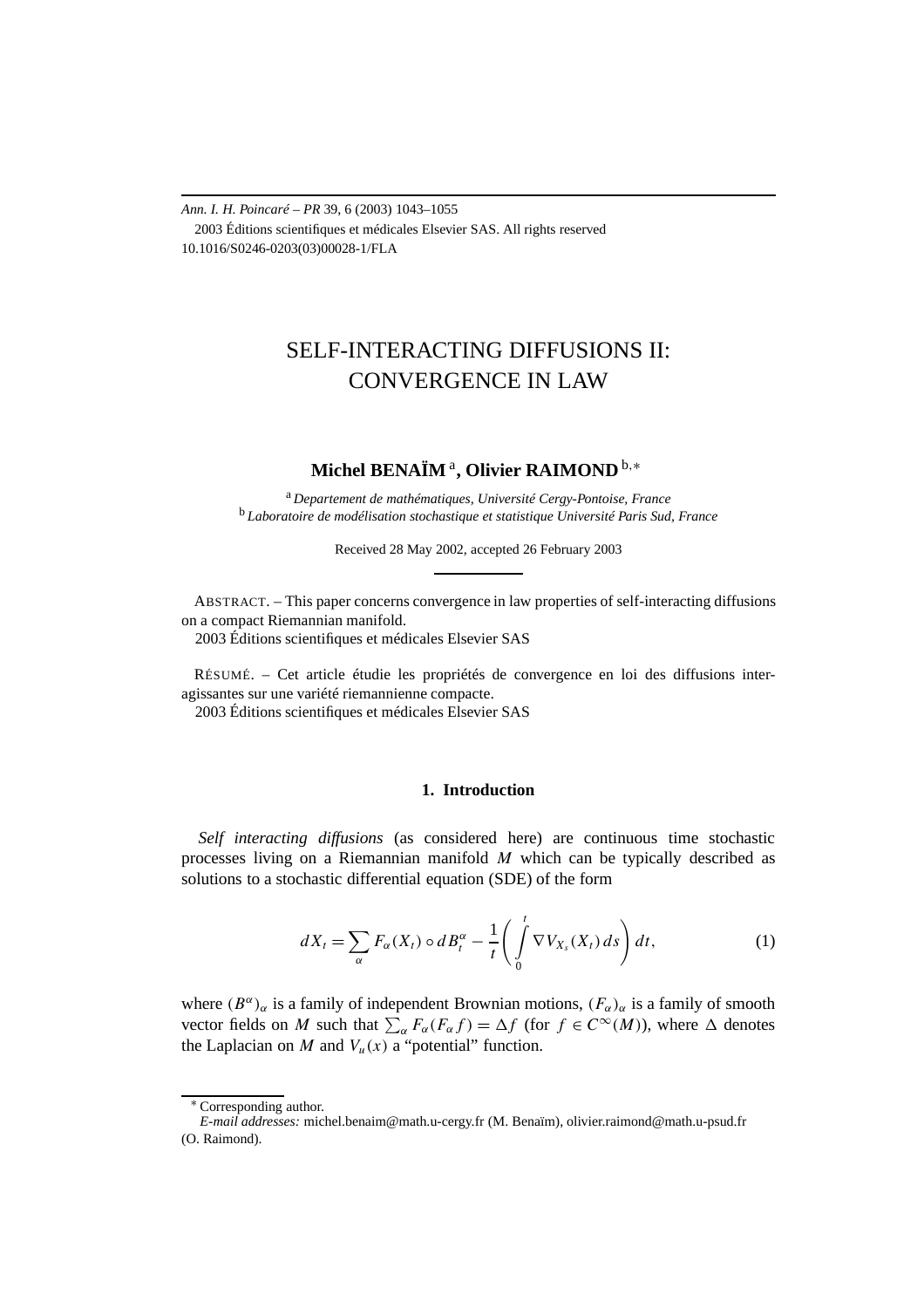*Ann. I. H. Poincaré – PR* 39, 6 (2003) 1043–1055 2003 Éditions scientifiques et médicales Elsevier SAS. All rights reserved 10.1016/S0246-0203(03)00028-1/FLA

# SELF-INTERACTING DIFFUSIONS II: CONVERGENCE IN LAW

## **Michel BENAÏM** <sup>a</sup>**, Olivier RAIMOND** <sup>b</sup>*,*<sup>∗</sup>

<sup>a</sup> *Departement de mathématiques, Université Cergy-Pontoise, France* <sup>b</sup> *Laboratoire de modélisation stochastique et statistique Université Paris Sud, France*

Received 28 May 2002, accepted 26 February 2003

ABSTRACT. – This paper concerns convergence in law properties of self-interacting diffusions on a compact Riemannian manifold.

2003 Éditions scientifiques et médicales Elsevier SAS

RÉSUMÉ. – Cet article étudie les propriétés de convergence en loi des diffusions interagissantes sur une variété riemannienne compacte. 2003 Éditions scientifiques et médicales Elsevier SAS

## **1. Introduction**

*Self interacting diffusions* (as considered here) are continuous time stochastic processes living on a Riemannian manifold *M* which can be typically described as solutions to a stochastic differential equation (SDE) of the form

$$
dX_t = \sum_{\alpha} F_{\alpha}(X_t) \circ dB_t^{\alpha} - \frac{1}{t} \left( \int_0^t \nabla V_{X_s}(X_t) \, ds \right) dt, \tag{1}
$$

where  $(B^{\alpha})_{\alpha}$  is a family of independent Brownian motions,  $(F_{\alpha})_{\alpha}$  is a family of smooth vector fields on *M* such that  $\sum_{\alpha} F_{\alpha}(F_{\alpha}f) = \Delta f$  (for  $f \in C^{\infty}(M)$ ), where  $\Delta$  denotes the Laplacian on *M* and  $V_u(x)$  a "potential" function.

<sup>∗</sup> Corresponding author.

*E-mail addresses:* michel.benaim@math.u-cergy.fr (M. Benaïm), olivier.raimond@math.u-psud.fr (O. Raimond).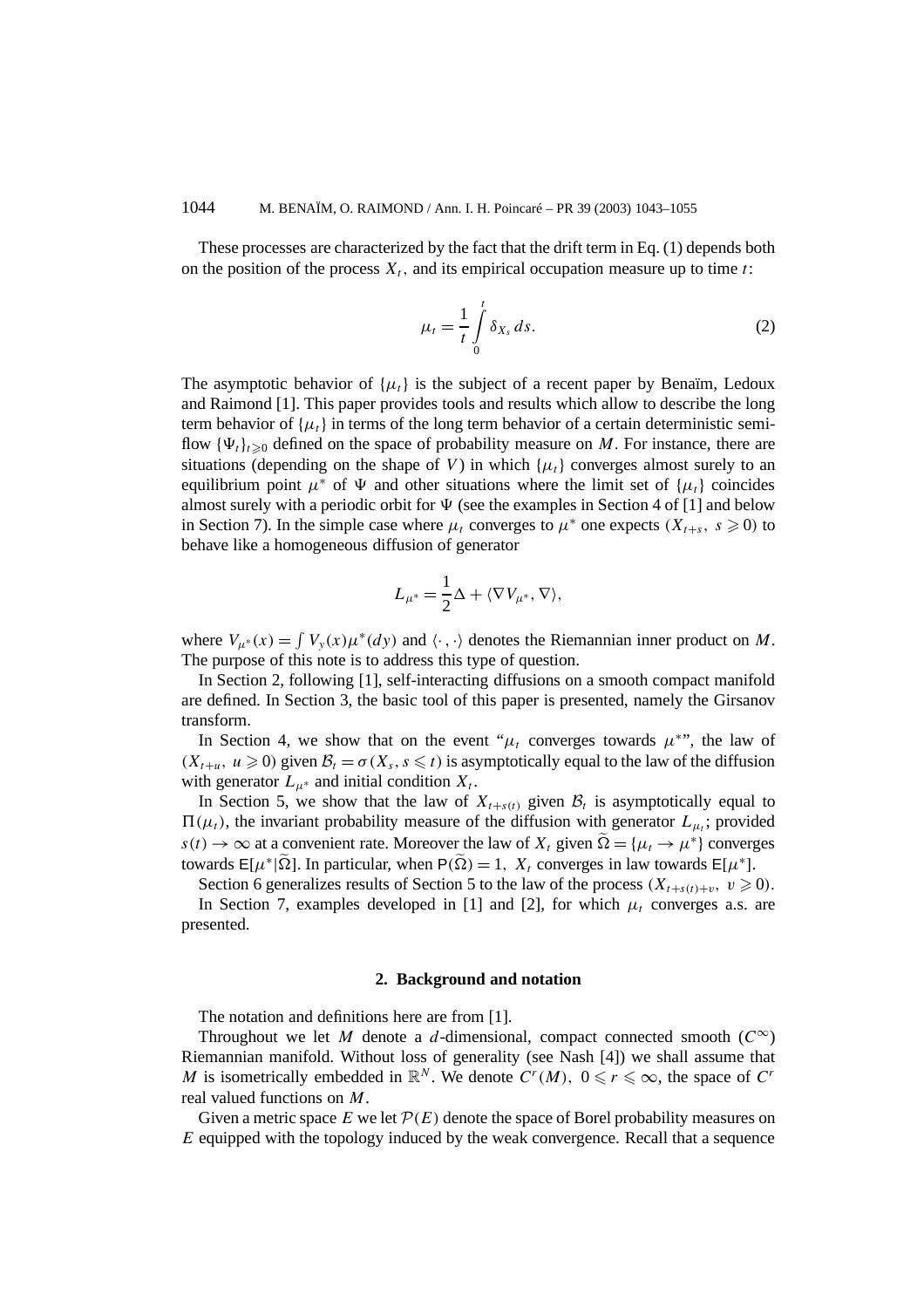These processes are characterized by the fact that the drift term in Eq. (1) depends both on the position of the process  $X_t$ , and its empirical occupation measure up to time *t*:

$$
\mu_t = \frac{1}{t} \int_0^t \delta_{X_s} ds. \tag{2}
$$

The asymptotic behavior of  $\{\mu_t\}$  is the subject of a recent paper by Benaïm, Ledoux and Raimond [1]. This paper provides tools and results which allow to describe the long term behavior of  $\{\mu_t\}$  in terms of the long term behavior of a certain deterministic semiflow  ${\Psi_t}_{t\geq0}$  defined on the space of probability measure on *M*. For instance, there are situations (depending on the shape of *V*) in which  $\{\mu_t\}$  converges almost surely to an equilibrium point  $\mu^*$  of  $\Psi$  and other situations where the limit set of  $\{\mu_i\}$  coincides almost surely with a periodic orbit for  $\Psi$  (see the examples in Section 4 of [1] and below in Section 7). In the simple case where  $\mu_t$  converges to  $\mu^*$  one expects  $(X_{t+s}, s \ge 0)$  to behave like a homogeneous diffusion of generator

$$
L_{\mu^*} = \frac{1}{2}\Delta + \langle \nabla V_{\mu^*}, \nabla \rangle,
$$

where  $V_{\mu^*}(x) = \int V_y(x) \mu^*(dy)$  and  $\langle \cdot, \cdot \rangle$  denotes the Riemannian inner product on *M*. The purpose of this note is to address this type of question.

In Section 2, following [1], self-interacting diffusions on a smooth compact manifold are defined. In Section 3, the basic tool of this paper is presented, namely the Girsanov transform.

In Section 4, we show that on the event " $\mu_t$  converges towards  $\mu^*$ ", the law of  $(X_{t+u}, u \ge 0)$  given  $\mathcal{B}_t = \sigma(X_s, s \le t)$  is asymptotically equal to the law of the diffusion with generator  $L_{\mu^*}$  and initial condition  $X_t$ .

In Section 5, we show that the law of  $X_{t+s(t)}$  given  $\mathcal{B}_t$  is asymptotically equal to  $\Pi(\mu_t)$ , the invariant probability measure of the diffusion with generator  $L_{\mu_t}$ ; provided  $s(t) \to \infty$  at a convenient rate. Moreover the law of  $X_t$  given  $\tilde{\Omega} = {\mu_t \to \mu^*}$  converges towards  $E[\mu^*|\Omega]$ . In particular, when  $P(\Omega) = 1$ ,  $X_t$  converges in law towards  $E[\mu^*]$ .

Section 6 generalizes results of Section 5 to the law of the process  $(X_{t+s(t)+v}, v \ge 0)$ .

In Section 7, examples developed in [1] and [2], for which  $\mu_t$  converges a.s. are presented.

## **2. Background and notation**

The notation and definitions here are from [1].

Throughout we let *M* denote a *d*-dimensional, compact connected smooth ( $C^{\infty}$ ) Riemannian manifold. Without loss of generality (see Nash [4]) we shall assume that *M* is isometrically embedded in  $\mathbb{R}^N$ . We denote  $C^r(M)$ ,  $0 \le r \le \infty$ , the space of  $C^r$ real valued functions on *M*.

Given a metric space  $E$  we let  $\mathcal{P}(E)$  denote the space of Borel probability measures on *E* equipped with the topology induced by the weak convergence. Recall that a sequence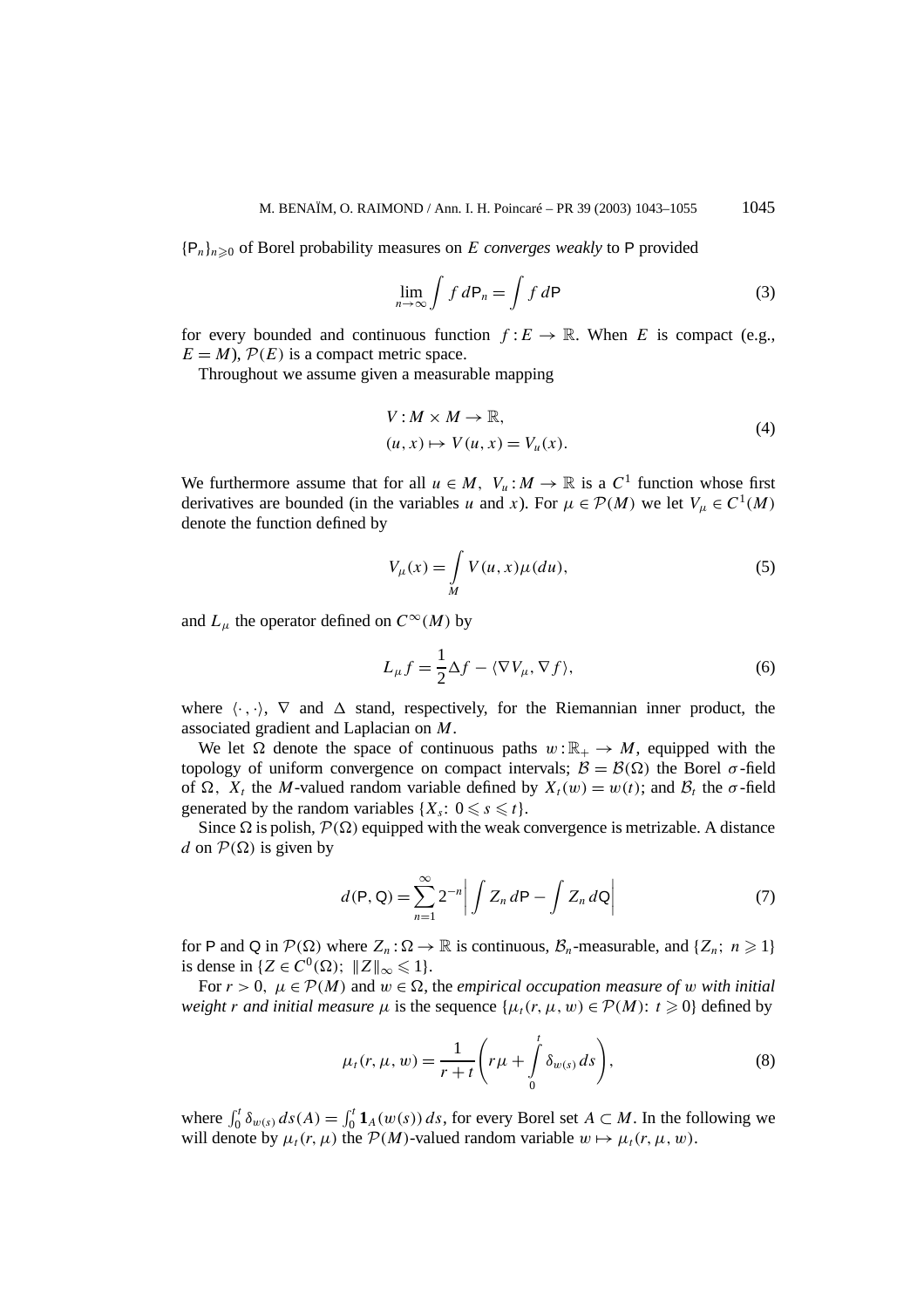${P_n}_n \geq 0$  of Borel probability measures on *E converges weakly* to P provided

$$
\lim_{n \to \infty} \int f \, d\mathsf{P}_n = \int f \, d\mathsf{P} \tag{3}
$$

for every bounded and continuous function  $f: E \to \mathbb{R}$ . When *E* is compact (e.g.,  $E = M$ ),  $P(E)$  is a compact metric space.

Throughout we assume given a measurable mapping

$$
V: M \times M \to \mathbb{R},
$$
  
(*u*, *x*)  $\mapsto$   $V(u, x) = V_u(x).$  (4)

We furthermore assume that for all  $u \in M$ ,  $V_u : M \to \mathbb{R}$  is a  $C^1$  function whose first derivatives are bounded (in the variables *u* and *x*). For  $\mu \in \mathcal{P}(M)$  we let  $V_{\mu} \in C^{1}(M)$ denote the function defined by

$$
V_{\mu}(x) = \int_{M} V(u, x)\mu(du),
$$
\n(5)

and  $L<sub>u</sub>$  the operator defined on  $C<sup>\infty</sup>(M)$  by

$$
L_{\mu}f = \frac{1}{2}\Delta f - \langle \nabla V_{\mu}, \nabla f \rangle, \tag{6}
$$

where  $\langle \cdot, \cdot \rangle$ ,  $\nabla$  and  $\Delta$  stand, respectively, for the Riemannian inner product, the associated gradient and Laplacian on *M*.

We let  $\Omega$  denote the space of continuous paths  $w : \mathbb{R}_+ \to M$ , equipped with the topology of uniform convergence on compact intervals;  $\mathcal{B} = \mathcal{B}(\Omega)$  the Borel  $\sigma$ -field of  $\Omega$ ,  $X_t$  the *M*-valued random variable defined by  $X_t(w) = w(t)$ ; and  $\mathcal{B}_t$  the  $\sigma$ -field generated by the random variables  $\{X_s : 0 \le s \le t\}.$ 

Since  $\Omega$  is polish,  $\mathcal{P}(\Omega)$  equipped with the weak convergence is metrizable. A distance *d* on  $P(\Omega)$  is given by

$$
d(\mathsf{P}, \mathsf{Q}) = \sum_{n=1}^{\infty} 2^{-n} \left| \int Z_n d\mathsf{P} - \int Z_n d\mathsf{Q} \right| \tag{7}
$$

for P and Q in  $\mathcal{P}(\Omega)$  where  $Z_n : \Omega \to \mathbb{R}$  is continuous,  $\mathcal{B}_n$ -measurable, and  $\{Z_n : n \geq 1\}$ is dense in  $\{Z \in C^0(\Omega); \ \|Z\|_{\infty} \leq 1\}.$ 

For  $r > 0$ ,  $\mu \in \mathcal{P}(M)$  and  $w \in \Omega$ , the *empirical occupation measure of w with initial weight r and initial measure*  $\mu$  is the sequence  $\{\mu_t(r, \mu, w) \in \mathcal{P}(M): t \geq 0\}$  defined by

$$
\mu_t(r,\mu,w) = \frac{1}{r+t} \left( r\mu + \int_0^t \delta_{w(s)} ds \right),\tag{8}
$$

where  $\int_0^t \delta_{w(s)} ds(A) = \int_0^t \mathbf{1}_A(w(s)) ds$ , for every Borel set  $A \subset M$ . In the following we will denote by  $\mu_t(r, \mu)$  the  $\mathcal{P}(M)$ -valued random variable  $w \mapsto \mu_t(r, \mu, w)$ .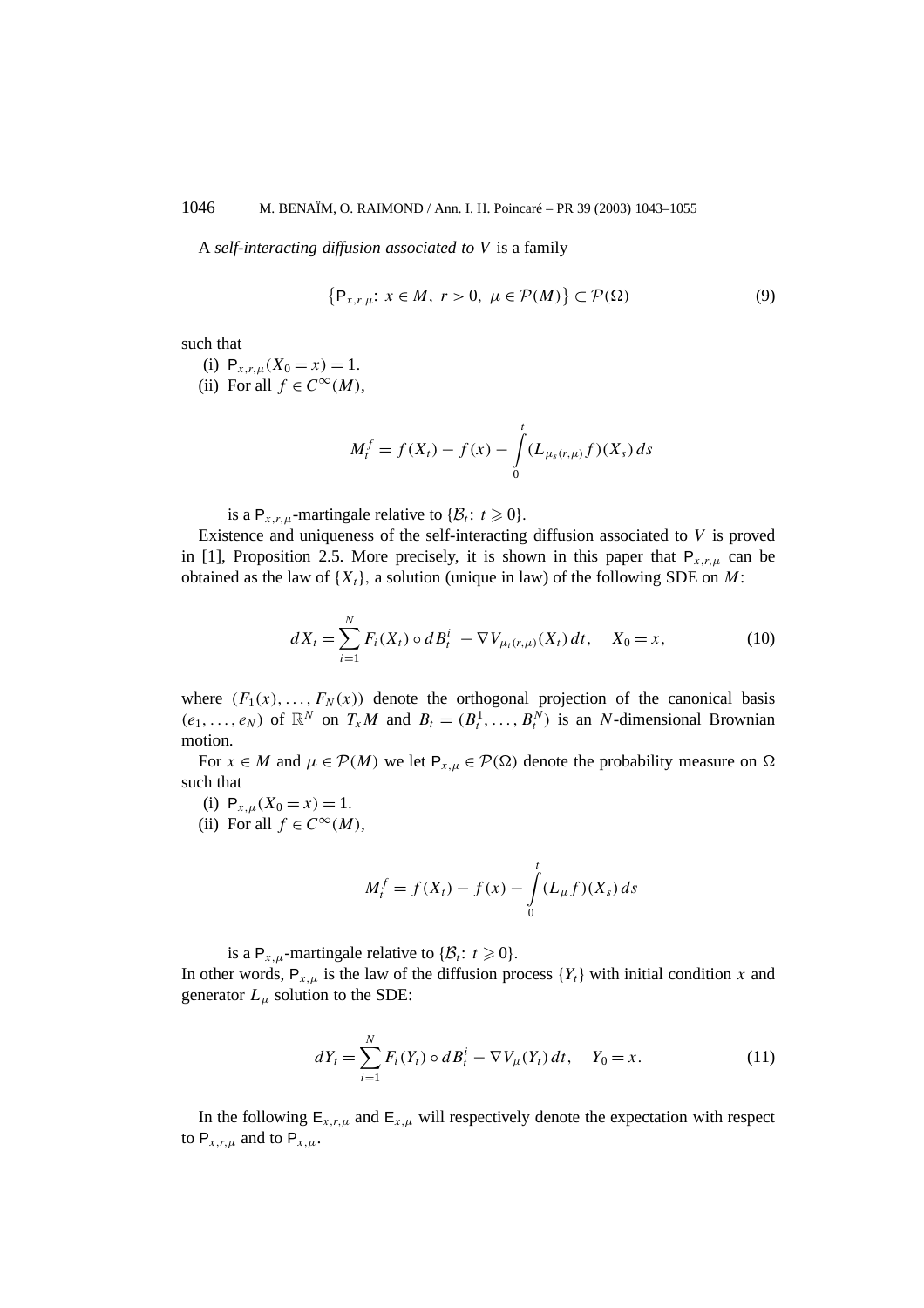A *self-interacting diffusion associated to V* is a family

$$
\{P_{x,r,\mu}: x \in M, r > 0, \mu \in \mathcal{P}(M)\} \subset \mathcal{P}(\Omega)
$$
\n(9)

such that

(i)  $P_{x,r,u}(X_0 = x) = 1.$ (ii) For all  $f \in C^{\infty}(M)$ ,

$$
M_t^f = f(X_t) - f(x) - \int_0^t (L_{\mu_s(r,\mu)}f)(X_s) ds
$$

is a  $P_{x,r,\mu}$ -martingale relative to  $\{\mathcal{B}_t : t \geq 0\}.$ 

Existence and uniqueness of the self-interacting diffusion associated to *V* is proved in [1], Proposition 2.5. More precisely, it is shown in this paper that  $P_{x,r,\mu}$  can be obtained as the law of  $\{X_t\}$ , a solution (unique in law) of the following SDE on *M*:

$$
dX_t = \sum_{i=1}^{N} F_i(X_t) \circ dB_t^i - \nabla V_{\mu_t(r,\mu)}(X_t) dt, \quad X_0 = x,
$$
 (10)

where  $(F_1(x),..., F_N(x))$  denote the orthogonal projection of the canonical basis  $(e_1, \ldots, e_N)$  of  $\mathbb{R}^N$  on  $T_xM$  and  $B_t = (B_t^1, \ldots, B_t^N)$  is an *N*-dimensional Brownian motion.

For  $x \in M$  and  $\mu \in \mathcal{P}(M)$  we let  $P_{x,\mu} \in \mathcal{P}(\Omega)$  denote the probability measure on  $\Omega$ such that

- (i)  $P_{x,\mu}(X_0 = x) = 1$ .
- (ii) For all  $f \in C^{\infty}(M)$ ,

$$
M_t^f = f(X_t) - f(x) - \int_0^t (L_{\mu} f)(X_s) ds
$$

is a  $P_{x,\mu}$ -martingale relative to  $\{\mathcal{B}_t: t \geq 0\}$ .

In other words,  $P_{x,\mu}$  is the law of the diffusion process  $\{Y_t\}$  with initial condition *x* and generator  $L<sub>\mu</sub>$  solution to the SDE:

$$
dY_t = \sum_{i=1}^{N} F_i(Y_t) \circ dB_t^i - \nabla V_{\mu}(Y_t) dt, \quad Y_0 = x.
$$
 (11)

In the following  $E_{x,r,\mu}$  and  $E_{x,\mu}$  will respectively denote the expectation with respect to  $P_{x,r,\mu}$  and to  $P_{x,\mu}$ .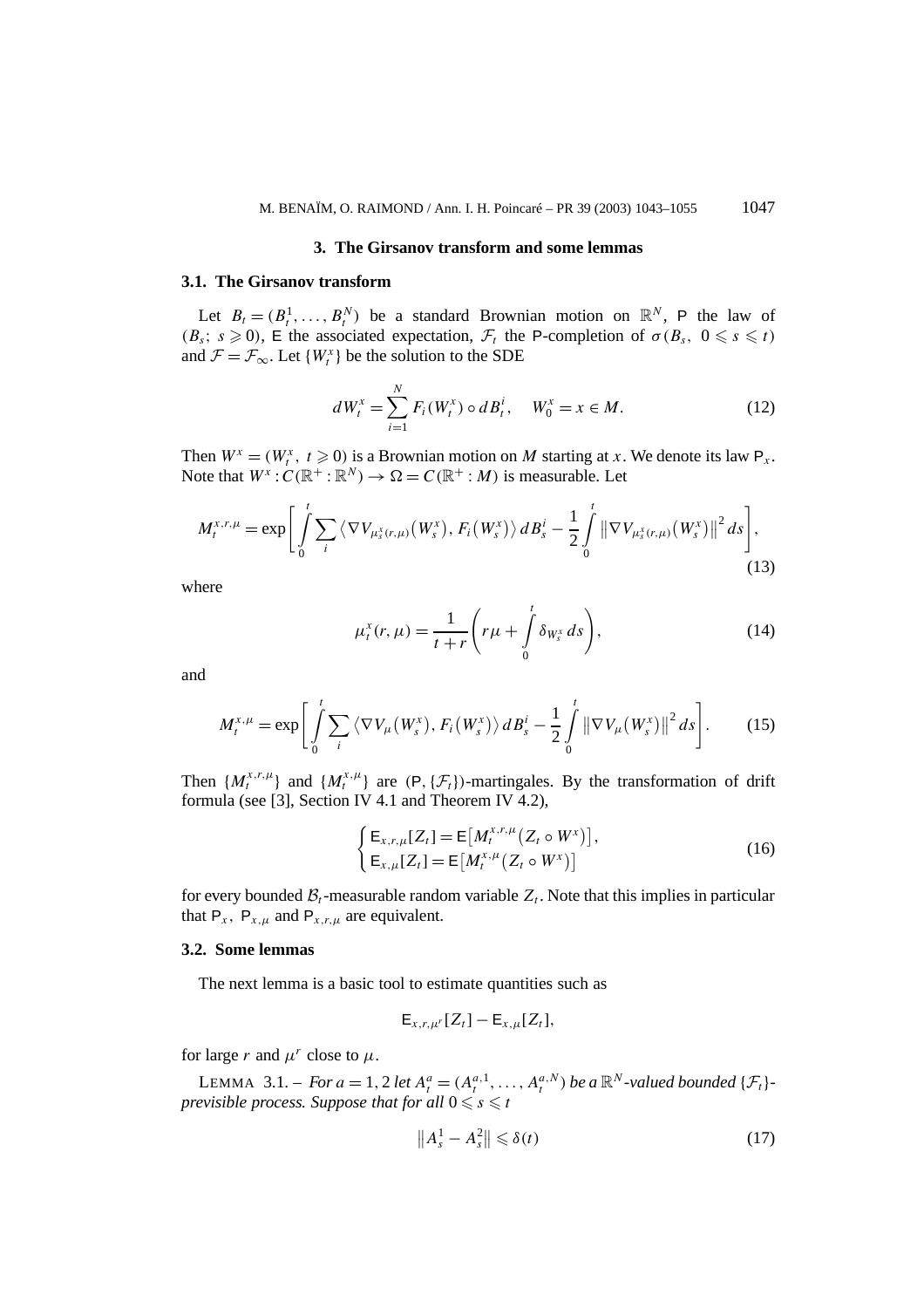#### **3. The Girsanov transform and some lemmas**

#### **3.1. The Girsanov transform**

Let  $B_t = (B_t^1, \ldots, B_t^N)$  be a standard Brownian motion on  $\mathbb{R}^N$ , P the law of  $(B_s; s \ge 0)$ , E the associated expectation,  $\mathcal{F}_t$  the P-completion of  $\sigma(B_s, 0 \le s \le t)$ and  $\mathcal{F} = \mathcal{F}_{\infty}$ . Let  $\{W_t^x\}$  be the solution to the SDE

$$
dW_t^x = \sum_{i=1}^N F_i(W_t^x) \circ dB_t^i, \quad W_0^x = x \in M.
$$
 (12)

Then  $W^x = (W^x_t, t \ge 0)$  is a Brownian motion on *M* starting at *x*. We denote its law  $P_x$ . Note that  $W^x$ :  $C(\mathbb{R}^+ : \mathbb{R}^N) \to \Omega = C(\mathbb{R}^+ : M)$  is measurable. Let

$$
M_t^{x,r,\mu} = \exp\bigg[\int\limits_0^t \sum_i \left\langle \nabla V_{\mu_s^x(r,\mu)}(W_s^x), F_i(W_s^x) \right\rangle dB_s^i - \frac{1}{2} \int\limits_0^t \left\| \nabla V_{\mu_s^x(r,\mu)}(W_s^x) \right\|^2 ds \bigg],\tag{13}
$$

where

$$
\mu_t^x(r,\mu) = \frac{1}{t+r} \left( r\mu + \int_0^t \delta_{W_s^x} ds \right),\tag{14}
$$

and

$$
M_t^{x,\mu} = \exp\bigg[\int_0^t \sum_i \langle \nabla V_\mu(W_s^x), F_i(W_s^x) \rangle \, dB_s^i - \frac{1}{2} \int_0^t \left\| \nabla V_\mu(W_s^x) \right\|^2 \, ds \bigg]. \tag{15}
$$

Then  $\{M_t^{x,r,\mu}\}\$  and  $\{M_t^{x,\mu}\}\$  are  $(P, \{\mathcal{F}_t\})$ -martingales. By the transformation of drift formula (see [3], Section IV 4.1 and Theorem IV 4.2),

$$
\begin{cases} \mathsf{E}_{x,r,\mu}[Z_t] = \mathsf{E}\big[M_t^{x,r,\mu}(Z_t \circ W^x)\big], \\ \mathsf{E}_{x,\mu}[Z_t] = \mathsf{E}\big[M_t^{x,\mu}(Z_t \circ W^x)\big] \end{cases}
$$
(16)

for every bounded  $\mathcal{B}_t$ -measurable random variable  $Z_t$ . Note that this implies in particular that  $P_x$ ,  $P_{x,\mu}$  and  $P_{x,r,\mu}$  are equivalent.

## **3.2. Some lemmas**

The next lemma is a basic tool to estimate quantities such as

$$
\mathsf{E}_{x,r,\mu^r}[Z_t] - \mathsf{E}_{x,\mu}[Z_t],
$$

for large *r* and  $\mu^r$  close to  $\mu$ .

LEMMA 3.1. – *For*  $a = 1, 2$  *let*  $A_t^a = (A_t^{a,1}, \ldots, A_t^{a,N})$  *be*  $a \mathbb{R}^N$ -valued bounded  $\{\mathcal{F}_t\}$ *previsible process. Suppose that for all*  $0 \leqslant s \leqslant t$ 

$$
\left\|A_s^1 - A_s^2\right\| \leqslant \delta(t) \tag{17}
$$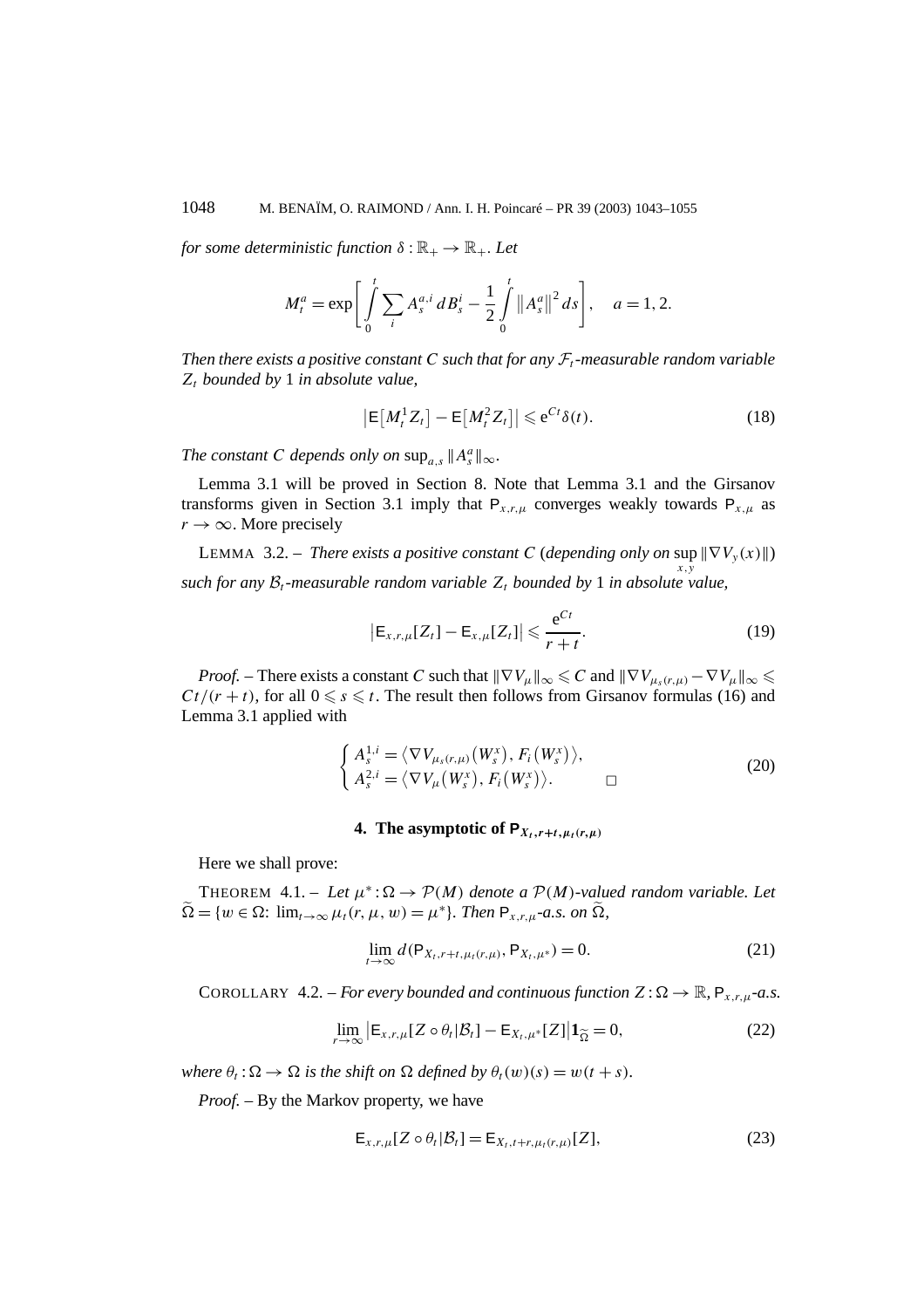*for some deterministic function*  $\delta : \mathbb{R}_+ \to \mathbb{R}_+$ *. Let* 

$$
M_t^a = \exp \bigg[ \int_0^t \sum_i A_s^{a,i} \, dB_s^i - \frac{1}{2} \int_0^t \left\| A_s^a \right\|^2 \, ds \bigg], \quad a = 1, 2.
$$

*Then there exists a positive constant C such that for any*  $\mathcal{F}_t$ *-measurable random variable Zt bounded by* 1 *in absolute value,*

$$
\left|\mathsf{E}\left[M_t^1 Z_t\right] - \mathsf{E}\left[M_t^2 Z_t\right]\right| \leqslant e^{Ct} \delta(t). \tag{18}
$$

*The constant C depends only on*  $\sup_{a,s} \|A_s^a\|_{\infty}$ *.* 

Lemma 3.1 will be proved in Section 8. Note that Lemma 3.1 and the Girsanov transforms given in Section 3.1 imply that  $P_{x,r,\mu}$  converges weakly towards  $P_{x,\mu}$  as  $r \rightarrow \infty$ . More precisely

**LEMMA** 3.2. – *There exists a positive constant C* (depending only on sup  $\|\nabla V_y(x)\|$ ) *x,y such for any*  $B_t$ *-measurable random variable*  $Z_t$  *bounded by* 1 *in absolute value*,

$$
\left|\mathsf{E}_{x,r,\mu}[Z_t] - \mathsf{E}_{x,\mu}[Z_t]\right| \leqslant \frac{\mathrm{e}^{Ct}}{r+t}.\tag{19}
$$

*Proof.* – There exists a constant *C* such that  $\|\nabla V_\mu\|_\infty \leqslant C$  and  $\|\nabla V_{\mu_s(r,\mu)} - \nabla V_\mu\|_\infty \leqslant$  $Ct/(r + t)$ , for all  $0 \le s \le t$ . The result then follows from Girsanov formulas (16) and Lemma 3.1 applied with

$$
\begin{cases} A_s^{1,i} = \langle \nabla V_{\mu_s(r,\mu)}(W_s^x), F_i(W_s^x) \rangle, \\ A_s^{2,i} = \langle \nabla V_{\mu}(W_s^x), F_i(W_s^x) \rangle. \end{cases}
$$
 (20)

#### **4.** The asymptotic of  $P_{X_t, r+t, u_t(r, u)}$

Here we shall prove:

THEOREM 4.1. – Let  $\mu^*$ :  $\Omega \to \mathcal{P}(M)$  *denote a*  $\mathcal{P}(M)$ *-valued random variable. Let*  $\widetilde{\Omega} = \{w \in \Omega: \lim_{t \to \infty} \mu_t(r, \mu, w) = \mu^*\}.$  Then  $P_{x,r,u}$ -a.s. on  $\widetilde{\Omega}$ ,

$$
\lim_{t \to \infty} d(\mathsf{P}_{X_t, r+t, \mu_t(r, \mu)}, \mathsf{P}_{X_t, \mu^*}) = 0.
$$
\n(21)

COROLLARY 4.2. – *For every bounded and continuous function*  $Z : \Omega \to \mathbb{R}$ ,  $P_{x,r,\mu}$ -a.s.

$$
\lim_{r \to \infty} \left| \mathsf{E}_{x,r,\mu} [Z \circ \theta_t | \mathcal{B}_t] - \mathsf{E}_{X_t,\mu^*} [Z] \right| \mathbf{1}_{\widetilde{\Omega}} = 0, \tag{22}
$$

*where*  $\theta_t$ :  $\Omega \to \Omega$  *is the shift on*  $\Omega$  *defined by*  $\theta_t(w)(s) = w(t + s)$ *.* 

*Proof. –* By the Markov property, we have

$$
\mathsf{E}_{x,r,\mu}[Z \circ \theta_t | \mathcal{B}_t] = \mathsf{E}_{X_t,t+r,\mu_t(r,\mu)}[Z],\tag{23}
$$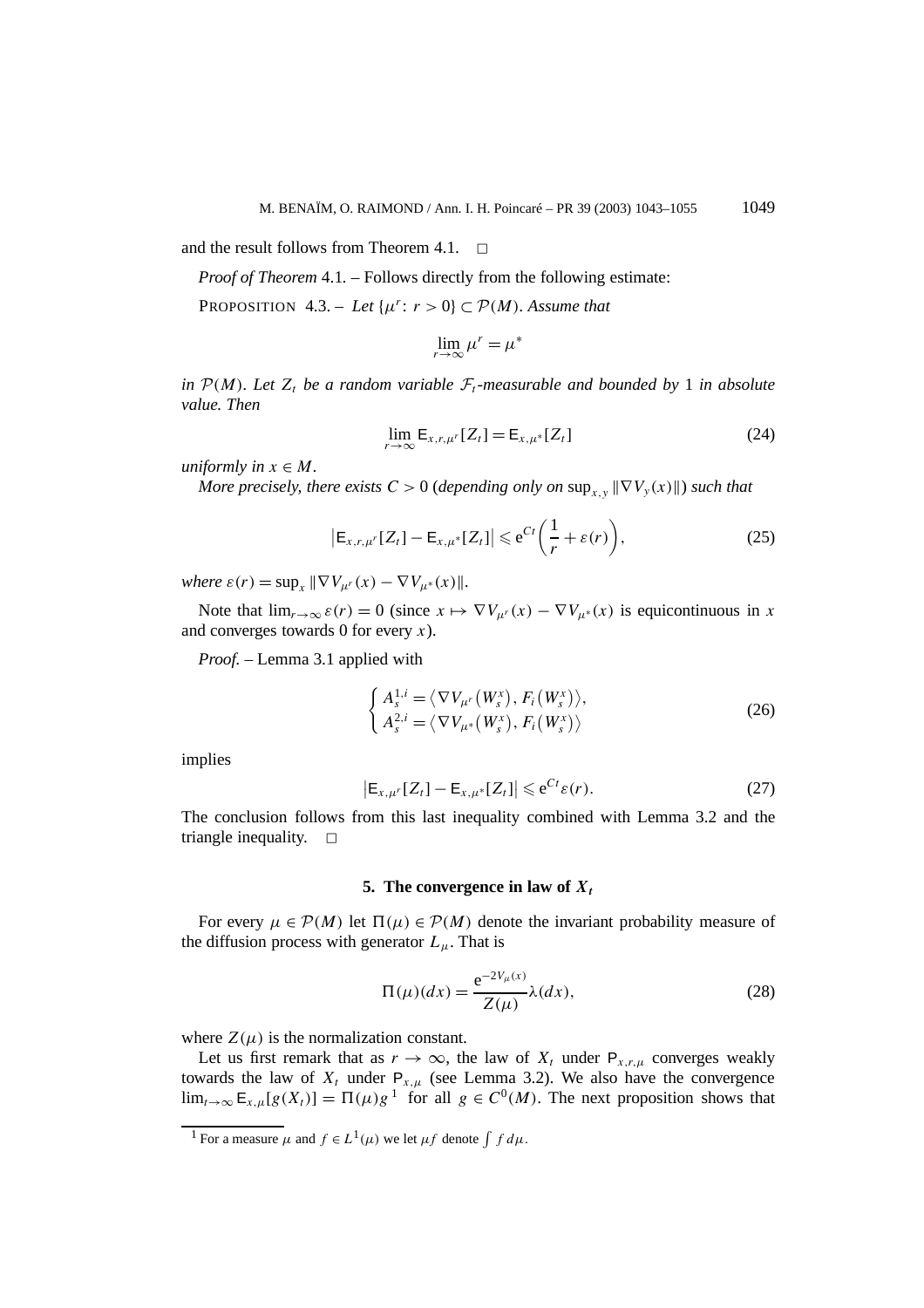and the result follows from Theorem 4.1.  $\Box$ 

*Proof of Theorem* 4.1*. –* Follows directly from the following estimate:

PROPOSITION 4.3. – Let  $\{\mu^r: r > 0\} \subset \mathcal{P}(M)$ *. Assume that* 

$$
\lim_{r \to \infty} \mu^r = \mu^*
$$

*in*  $P(M)$ *. Let*  $Z_t$  *be a random variable*  $\mathcal{F}_t$ *-measurable and bounded by* 1 *in absolute value. Then*

$$
\lim_{r \to \infty} \mathsf{E}_{x,r,\mu^r}[Z_t] = \mathsf{E}_{x,\mu^*}[Z_t]
$$
\n(24)

*uniformly in*  $x \in M$ *.* 

*More precisely, there exists*  $C > 0$  (*depending only on*  $\sup_{x,y} ||\nabla V_y(x)||$ *) such that* 

$$
\left|\mathsf{E}_{x,r,\mu^r}[Z_t] - \mathsf{E}_{x,\mu^*}[Z_t]\right| \leqslant e^{Ct}\left(\frac{1}{r} + \varepsilon(r)\right),\tag{25}
$$

*where*  $\varepsilon(r) = \sup_x ||\nabla V_{\mu^r}(x) - \nabla V_{\mu^*}(x)||$ .

Note that  $\lim_{r\to\infty} \varepsilon(r) = 0$  (since  $x \mapsto \nabla V_{\mu^r}(x) - \nabla V_{\mu^*}(x)$  is equicontinuous in *x* and converges towards 0 for every *x*).

*Proof. –* Lemma 3.1 applied with

$$
\begin{cases} A_s^{1,i} = \langle \nabla V_{\mu'}(W_s^x), F_i(W_s^x) \rangle, \\ A_s^{2,i} = \langle \nabla V_{\mu^*}(W_s^x), F_i(W_s^x) \rangle \end{cases}
$$
 (26)

implies

$$
\left|\mathsf{E}_{x,\mu^r}[Z_t] - \mathsf{E}_{x,\mu^*}[Z_t]\right| \leqslant e^{Ct}\varepsilon(r). \tag{27}
$$

The conclusion follows from this last inequality combined with Lemma 3.2 and the triangle inequality.  $\square$ 

#### **5.** The convergence in law of  $X_t$

For every  $\mu \in \mathcal{P}(M)$  let  $\Pi(\mu) \in \mathcal{P}(M)$  denote the invariant probability measure of the diffusion process with generator  $L_{\mu}$ . That is

$$
\Pi(\mu)(dx) = \frac{e^{-2V_{\mu}(x)}}{Z(\mu)} \lambda(dx),
$$
\n(28)

where  $Z(\mu)$  is the normalization constant.

Let us first remark that as  $r \to \infty$ , the law of  $X_t$  under  $P_{x,r,\mu}$  converges weakly towards the law of  $X_t$  under  $P_{x,\mu}$  (see Lemma 3.2). We also have the convergence  $\lim_{t\to\infty} E_{x,\mu}[g(X_t)] = \Pi(\mu)g^{-1}$  for all  $g \in C^0(M)$ . The next proposition shows that

<sup>&</sup>lt;sup>1</sup> For a measure  $\mu$  and  $f \in L^1(\mu)$  we let  $\mu f$  denote  $\int f d\mu$ .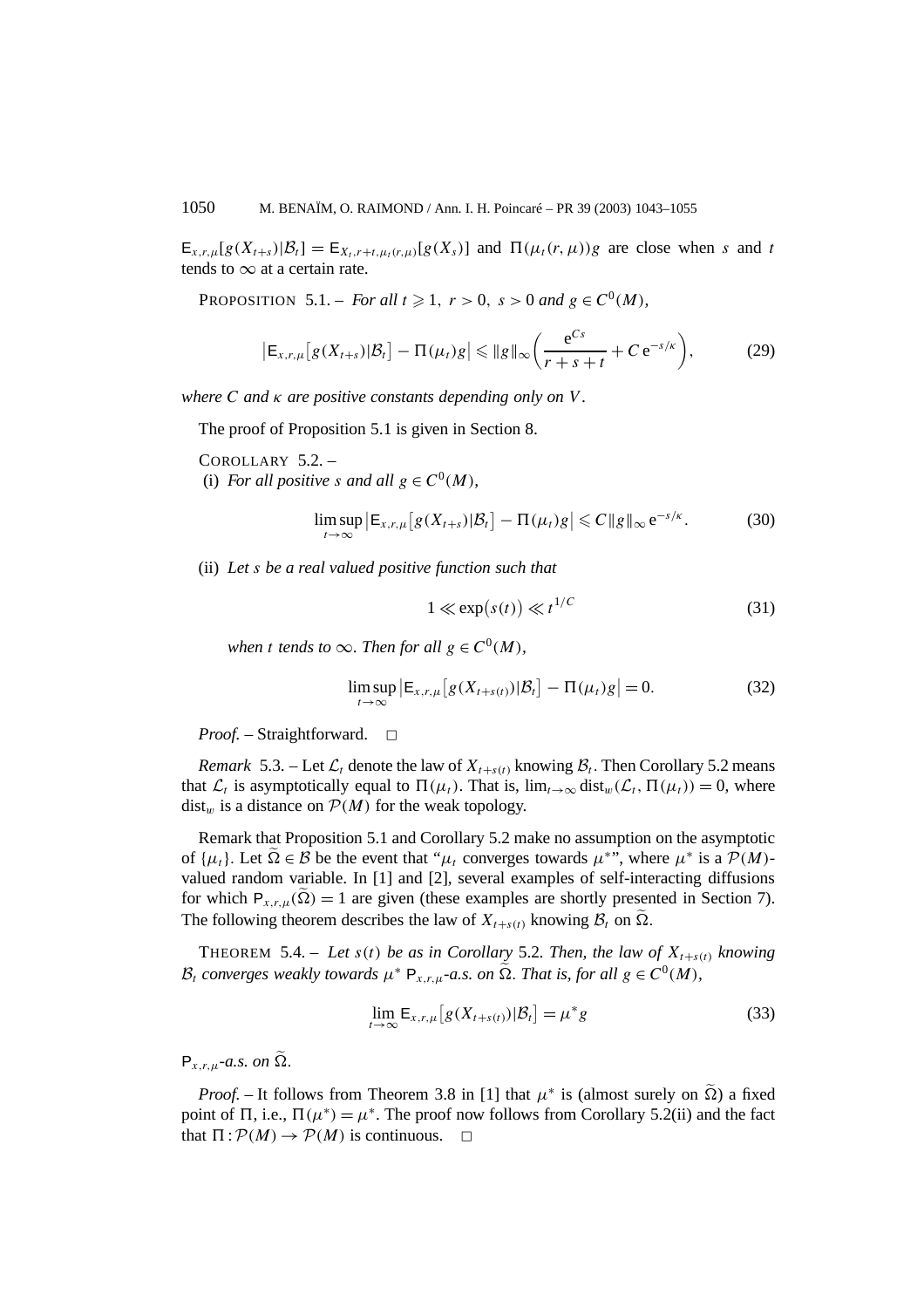$E_{x,r,\mu}[g(X_{t+s})|\mathcal{B}_t] = E_{X_t,r+t,\mu_t(r,\mu)}[g(X_s)]$  and  $\Pi(\mu_t(r,\mu))g$  are close when *s* and *t* tends to  $\infty$  at a certain rate.

**PROPOSITION** 5.1. – *For all*  $t \ge 1$ ,  $r > 0$ ,  $s > 0$  *and*  $g \in C^0(M)$ *,* 

$$
\left| \mathsf{E}_{x,r,\mu} \left[ g(X_{t+s}) | \mathcal{B}_t \right] - \Pi(\mu_t) g \right| \leq \| g \|_{\infty} \left( \frac{\mathrm{e}^{Cs}}{r+s+t} + C \, \mathrm{e}^{-s/\kappa} \right),\tag{29}
$$

*where C and κ are positive constants depending only on V .*

The proof of Proposition 5.1 is given in Section 8.

COROLLARY 5.2. – (i) *For all positive s and all*  $g \in C^0(M)$ *,* 

$$
\limsup_{t\to\infty} \left| \mathsf{E}_{x,r,\mu} \left[ g(X_{t+s}) | \mathcal{B}_t \right] - \Pi(\mu_t) g \right| \leqslant C \| g \|_{\infty} e^{-s/\kappa}.
$$
 (30)

(ii) *Let s be a real valued positive function such that*

$$
1 \ll \exp(s(t)) \ll t^{1/C} \tag{31}
$$

*when t tends to*  $\infty$ *. Then for all*  $g \in C^0(M)$ *,* 

$$
\limsup_{t \to \infty} \left| \mathsf{E}_{x,r,\mu} \left[ g(X_{t+s(t)}) | \mathcal{B}_t \right] - \Pi(\mu_t) g \right| = 0. \tag{32}
$$

*Proof.* – Straightforward. □

*Remark* 5.3. – Let  $\mathcal{L}_t$  denote the law of  $X_{t+s(t)}$  knowing  $\mathcal{B}_t$ . Then Corollary 5.2 means that  $\mathcal{L}_t$  is asymptotically equal to  $\Pi(\mu_t)$ . That is,  $\lim_{t\to\infty} dist_w(\mathcal{L}_t, \Pi(\mu_t)) = 0$ , where  $dist_w$  is a distance on  $P(M)$  for the weak topology.

Remark that Proposition 5.1 and Corollary 5.2 make no assumption on the asymptotic of  $\{\mu_t\}$ . Let  $\Omega \in \mathcal{B}$  be the event that " $\mu_t$  converges towards  $\mu^*$ ", where  $\mu^*$  is a  $\mathcal{P}(M)$ valued random variable. In [1] and [2], several examples of self-interacting diffusions for which  $P_{x,r,u}(\Omega) = 1$  are given (these examples are shortly presented in Section 7). The following theorem describes the law of  $X_{t+s(t)}$  knowing  $\mathcal{B}_t$  on  $\Omega$ .

THEOREM 5.4. – Let  $s(t)$  be as in Corollary 5.2. Then, the law of  $X_{t+s(t)}$  knowing  $\mathcal{B}_t$  *converges weakly towards*  $\mu^*$  **P**<sub>*x,r,µ*</sub>-*a.s. on*  $\tilde{\Omega}$ *. That is, for all*  $g \in C^0(M)$ *,* 

$$
\lim_{t \to \infty} \mathsf{E}_{x,r,\mu} \left[ g(X_{t+s(t)}) | \mathcal{B}_t \right] = \mu^* g \tag{33}
$$

 $P_{x,ru}$ *-a.s. on*  $\widetilde{\Omega}$ *.* 

*Proof.* – It follows from Theorem 3.8 in [1] that  $\mu^*$  is (almost surely on  $\Omega$ ) a fixed point of  $\Pi$ , i.e.,  $\Pi(\mu^*) = \mu^*$ . The proof now follows from Corollary 5.2(ii) and the fact that  $\Pi$ :  $\mathcal{P}(M) \rightarrow \mathcal{P}(M)$  is continuous.  $\Box$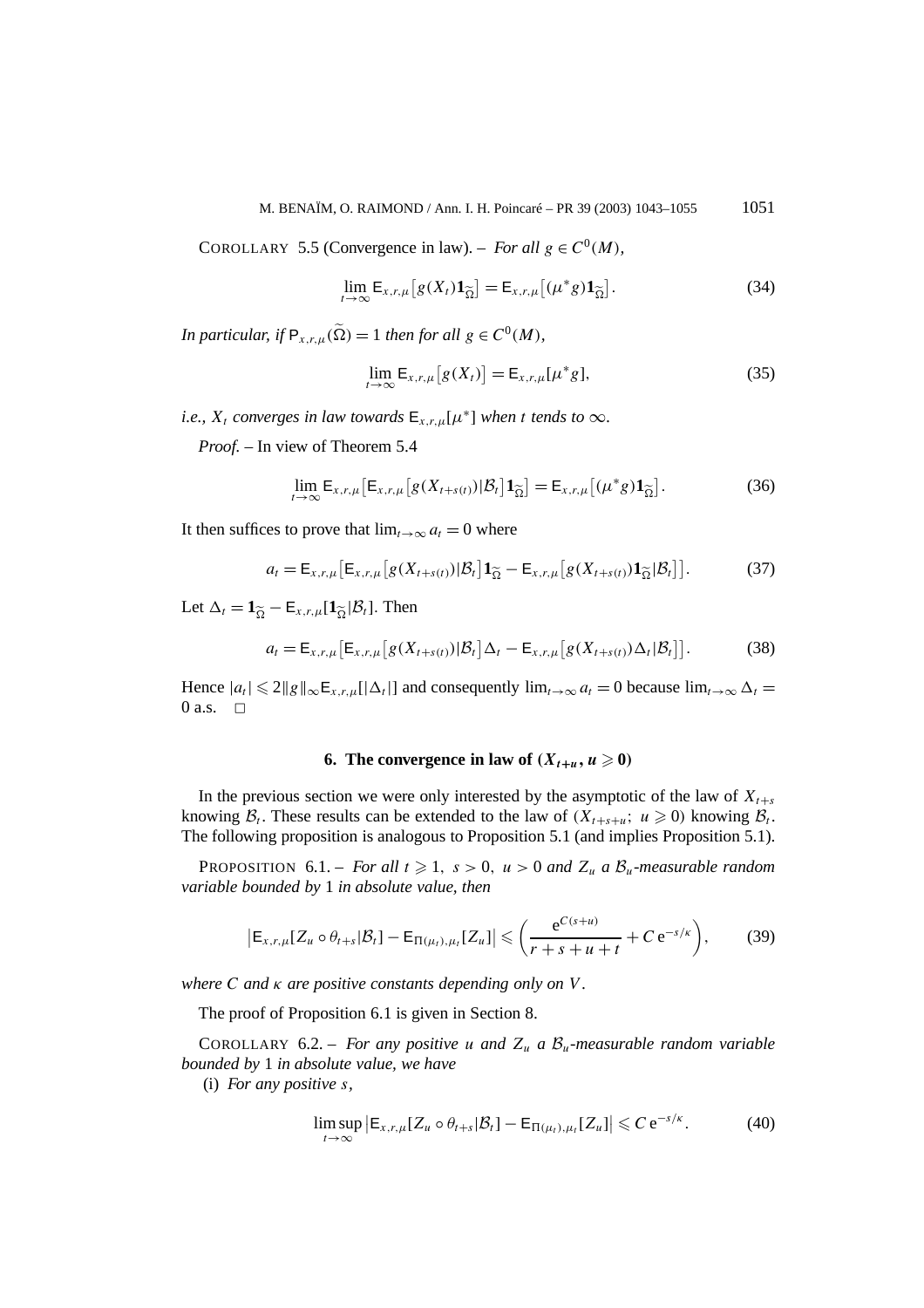COROLLARY 5.5 (Convergence in law). – *For all*  $g \in C^0(M)$ *,* 

$$
\lim_{t \to \infty} \mathsf{E}_{x,r,\mu} \big[ g(X_t) \mathbf{1}_{\widetilde{\Omega}} \big] = \mathsf{E}_{x,r,\mu} \big[ (\mu^* g) \mathbf{1}_{\widetilde{\Omega}} \big]. \tag{34}
$$

*In particular, if*  $P_{x,r,u}(\tilde{\Omega}) = 1$  *then for all*  $g \in C^0(M)$ *,* 

$$
\lim_{t \to \infty} \mathsf{E}_{x,r,\mu}[g(X_t)] = \mathsf{E}_{x,r,\mu}[\mu^*g],\tag{35}
$$

*i.e.,*  $X_t$  *converges in law towards*  $E_{X,t,u}[\mu^*]$  *when t tends to*  $\infty$ *.* 

*Proof. –* In view of Theorem 5.4

$$
\lim_{t \to \infty} \mathsf{E}_{x,r,\mu} \big[ \mathsf{E}_{x,r,\mu} \big[ g(X_{t+s(t)}) | \mathcal{B}_t \big] \mathbf{1}_{\widetilde{\Omega}} \big] = \mathsf{E}_{x,r,\mu} \big[ (\mu^* g) \mathbf{1}_{\widetilde{\Omega}} \big]. \tag{36}
$$

It then suffices to prove that  $\lim_{t\to\infty} a_t = 0$  where

$$
a_t = \mathsf{E}_{x,r,\mu} \big[ \mathsf{E}_{x,r,\mu} \big[ g(X_{t+s(t)}) | \mathcal{B}_t \big] \mathbf{1}_{\widetilde{\Omega}} - \mathsf{E}_{x,r,\mu} \big[ g(X_{t+s(t)}) \mathbf{1}_{\widetilde{\Omega}} | \mathcal{B}_t \big] \big]. \tag{37}
$$

Let  $\Delta_t = \mathbf{1}_{\widetilde{Q}} - \mathbf{E}_{x,r,\mu}[\mathbf{1}_{\widetilde{Q}}|\mathcal{B}_t]$ . Then

$$
a_t = \mathsf{E}_{x,r,\mu} \big[ \mathsf{E}_{x,r,\mu} \big[ g(X_{t+s(t)}) | \mathcal{B}_t \big] \Delta_t - \mathsf{E}_{x,r,\mu} \big[ g(X_{t+s(t)}) \Delta_t | \mathcal{B}_t \big] \big]. \tag{38}
$$

Hence  $|a_t| \leq 2||g||_{\infty} E_{x,r,\mu}[\Delta_t]$  and consequently  $\lim_{t\to\infty} a_t = 0$  because  $\lim_{t\to\infty} \Delta_t =$ 0 a.s.  $\Box$ 

## **6.** The convergence in law of  $(X_{t+u}, u \ge 0)$

In the previous section we were only interested by the asymptotic of the law of  $X_{t+s}$ knowing  $B_t$ . These results can be extended to the law of  $(X_{t+s+u}; u \geq 0)$  knowing  $B_t$ . The following proposition is analogous to Proposition 5.1 (and implies Proposition 5.1).

PROPOSITION 6.1. – *For all*  $t \ge 1$ ,  $s > 0$ ,  $u > 0$  *and*  $Z_u$  *a*  $\mathcal{B}_u$ *-measurable random variable bounded by* 1 *in absolute value, then*

$$
\left| \mathsf{E}_{x,r,\mu} [Z_u \circ \theta_{t+s} | \mathcal{B}_t] - \mathsf{E}_{\Pi(\mu_t),\mu_t} [Z_u] \right| \leqslant \left( \frac{\mathrm{e}^{C(s+u)}}{r+s+u+t} + C \, \mathrm{e}^{-s/\kappa} \right),\tag{39}
$$

*where C and κ are positive constants depending only on V .*

The proof of Proposition 6.1 is given in Section 8.

COROLLARY 6.2. – *For any positive u and*  $Z_u$  *a*  $B_u$ -measurable random variable *bounded by* 1 *in absolute value, we have*

(i) *For any positive s,*

$$
\limsup_{t \to \infty} \left| \mathsf{E}_{x,r,\mu}[Z_u \circ \theta_{t+s} | \mathcal{B}_t] - \mathsf{E}_{\Pi(\mu_t),\mu_t}[Z_u] \right| \leqslant C \, \mathrm{e}^{-s/\kappa}.
$$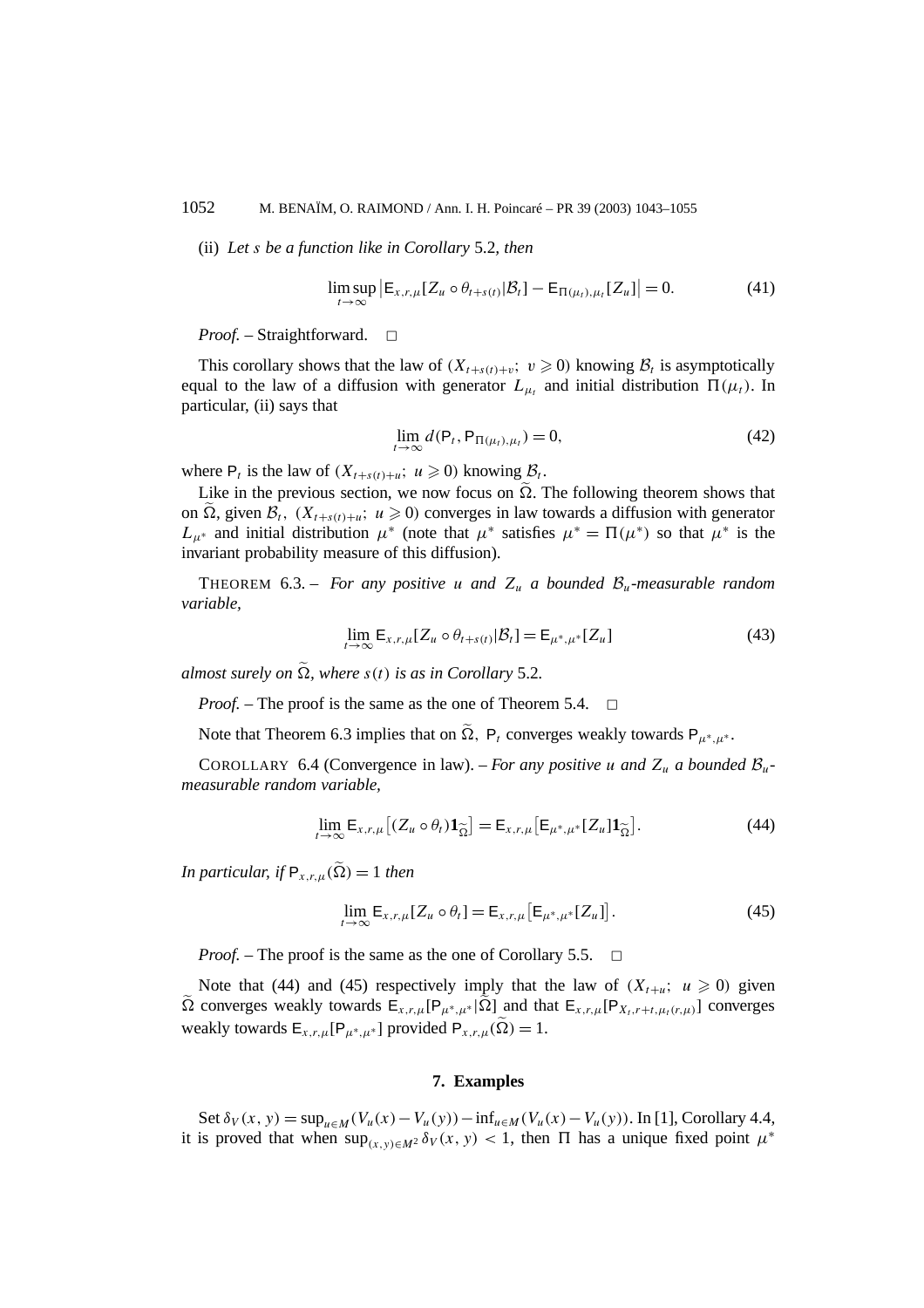(ii) *Let s be a function like in Corollary* 5.2*, then*

$$
\limsup_{t \to \infty} \left| \mathsf{E}_{x,r,\mu}[Z_u \circ \theta_{t+s(t)} | \mathcal{B}_t] - \mathsf{E}_{\Pi(\mu_t),\mu_t}[Z_u] \right| = 0. \tag{41}
$$

*Proof.* – Straightforward. □

This corollary shows that the law of  $(X_{t+s(t)+v}; v \ge 0)$  knowing  $B_t$  is asymptotically equal to the law of a diffusion with generator  $L_{\mu_t}$  and initial distribution  $\Pi(\mu_t)$ . In particular, (ii) says that

$$
\lim_{t \to \infty} d(\mathsf{P}_t, \mathsf{P}_{\Pi(\mu_t), \mu_t}) = 0,\tag{42}
$$

where  $P_t$  is the law of  $(X_{t+s(t)+u}; u \geq 0)$  knowing  $\mathcal{B}_t$ .

Like in the previous section, we now focus on  $\Omega$ . The following theorem shows that on  $\Omega$ , given  $\mathcal{B}_t$ ,  $(X_{t+s(t)+u}; u \geq 0)$  converges in law towards a diffusion with generator  $L_{\mu^*}$  and initial distribution  $\mu^*$  (note that  $\mu^*$  satisfies  $\mu^* = \Pi(\mu^*)$  so that  $\mu^*$  is the invariant probability measure of this diffusion).

THEOREM 6.3. – *For any positive u and*  $Z_u$  *a bounded*  $B_u$ *-measurable random variable,*

$$
\lim_{t \to \infty} \mathsf{E}_{x,r,\mu}[Z_u \circ \theta_{t+s(t)} | \mathcal{B}_t] = \mathsf{E}_{\mu^*,\mu^*}[Z_u]
$$
\n(43)

*almost surely on*  $\Omega$ *, where*  $s(t)$  *is as in Corollary* 5.2*.* 

*Proof.* – The proof is the same as the one of Theorem 5.4. <del>□</del>

Note that Theorem 6.3 implies that on  $\tilde{\Omega}$ ,  $P_t$  converges weakly towards  $P_{\mu^*,\mu^*}$ .

COROLLARY 6.4 (Convergence in law). – *For any positive u and*  $Z_u$  *a bounded*  $B_u$ *measurable random variable,*

$$
\lim_{t \to \infty} \mathsf{E}_{x,r,\mu} \big[ (Z_u \circ \theta_t) \mathbf{1}_{\widetilde{\Omega}} \big] = \mathsf{E}_{x,r,\mu} \big[ \mathsf{E}_{\mu^*,\mu^*} [Z_u] \mathbf{1}_{\widetilde{\Omega}} \big]. \tag{44}
$$

*In particular, if*  $P_{x,r,\mu}(\tilde{\Omega}) = 1$  *then* 

$$
\lim_{t \to \infty} \mathsf{E}_{x,r,\mu}[Z_u \circ \theta_t] = \mathsf{E}_{x,r,\mu}[\mathsf{E}_{\mu^*,\mu^*}[Z_u]]. \tag{45}
$$

*Proof.* – The proof is the same as the one of Corollary 5.5. <del>□</del>

Note that (44) and (45) respectively imply that the law of  $(X_{t+u}; u \ge 0)$  given  $Ω$  converges weakly towards  $E_{x,r,\mu}[P_{\mu^*,\mu^*}|Ω]$  and that  $E_{x,r,\mu}[P_{X_t,r+t,\mu_t(r,\mu)}]$  converges weakly towards  $E_{x,r,\mu}[P_{\mu^*,\mu^*}]$  provided  $P_{x,r,\mu}(\tilde{\Omega}) = 1$ .

#### **7. Examples**

Set  $\delta_V(x, y) = \sup_{u \in M} (V_u(x) - V_u(y)) - \inf_{u \in M} (V_u(x) - V_u(y))$ . In [1], Corollary 4.4, it is proved that when  $\sup_{(x,y)\in M^2} \delta_V(x, y) < 1$ , then  $\Pi$  has a unique fixed point  $\mu^*$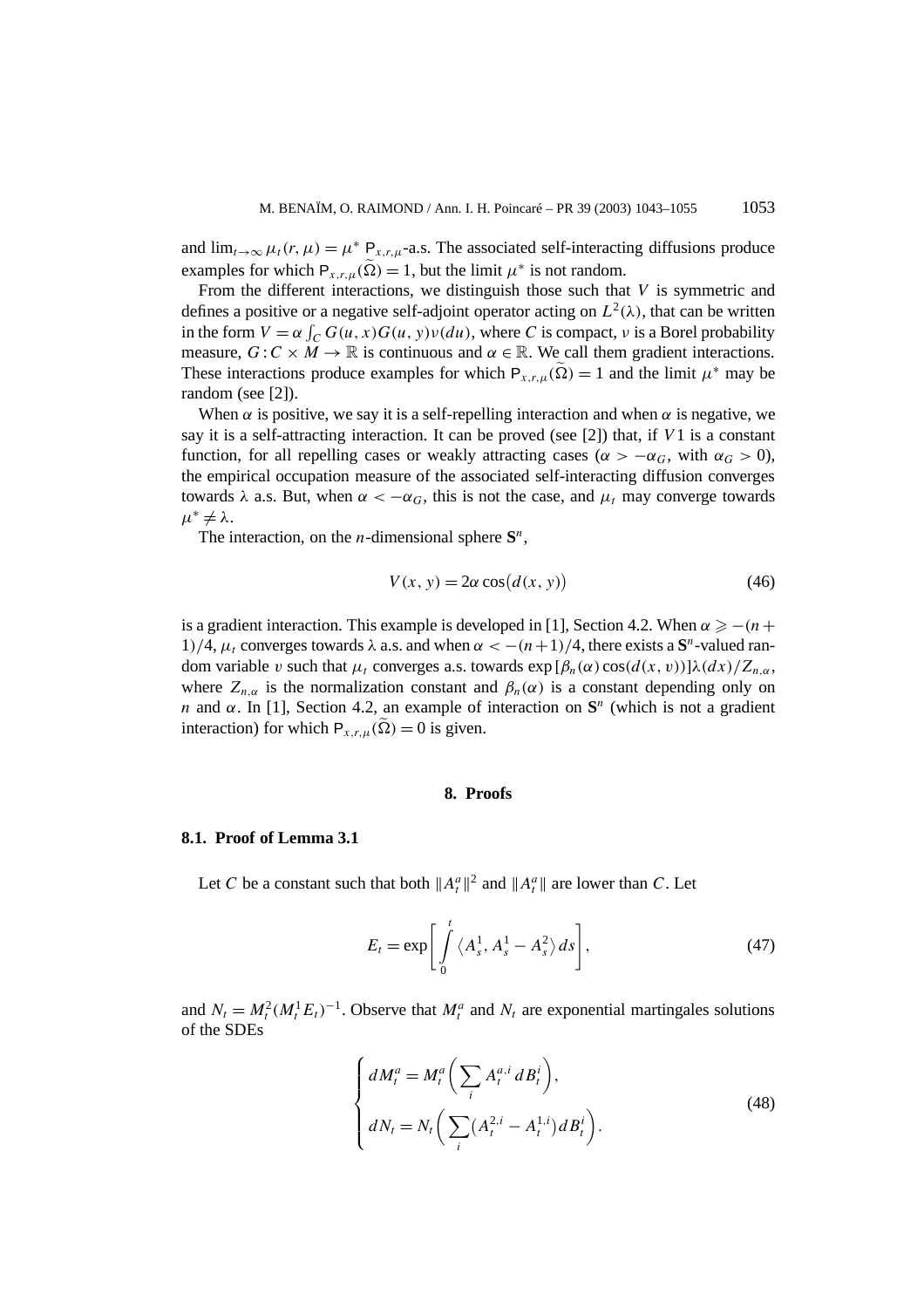and  $\lim_{t\to\infty}\mu_t(r,\mu) = \mu^* P_{x,r,\mu}$ -a.s. The associated self-interacting diffusions produce examples for which  $P_{x,r,\mu}(\tilde{\Omega}) = 1$ , but the limit  $\mu^*$  is not random.

From the different interactions, we distinguish those such that *V* is symmetric and defines a positive or a negative self-adjoint operator acting on  $L^2(\lambda)$ , that can be written in the form  $V = \alpha \int_C G(u, x)G(u, y)v(du)$ , where *C* is compact, *v* is a Borel probability measure,  $G: C \times M \to \mathbb{R}$  is continuous and  $\alpha \in \mathbb{R}$ . We call them gradient interactions. These interactions produce examples for which  $P_{x,r,\mu}(\tilde{\Omega}) = 1$  and the limit  $\mu^*$  may be random (see [2]).

When  $\alpha$  is positive, we say it is a self-repelling interaction and when  $\alpha$  is negative, we say it is a self-attracting interaction. It can be proved (see [2]) that, if *V* 1 is a constant function, for all repelling cases or weakly attracting cases ( $\alpha > -\alpha_G$ , with  $\alpha_G > 0$ ), the empirical occupation measure of the associated self-interacting diffusion converges towards *λ* a.s. But, when  $\alpha < -\alpha_G$ , this is not the case, and  $\mu_t$  may converge towards  $\mu^* \neq \lambda$ .

The interaction, on the *n*-dimensional sphere  $S<sup>n</sup>$ ,

$$
V(x, y) = 2\alpha \cos(d(x, y))
$$
\n(46)

is a gradient interaction. This example is developed in [1], Section 4.2. When  $\alpha \geq - (n +$ 1)/4,  $\mu_t$  converges towards λ a.s. and when  $\alpha < -\frac{(n+1)}{4}$ , there exists a **S**<sup>*n*</sup>-valued random variable *v* such that  $\mu_t$  converges a.s. towards  $\exp[\beta_n(\alpha)\cos(d(x, v))] \lambda(dx)/Z_{n,\alpha}$ , where  $Z_{n,\alpha}$  is the normalization constant and  $\beta_n(\alpha)$  is a constant depending only on *n* and *α*. In [1], Section 4.2, an example of interaction on **S***<sup>n</sup>* (which is not a gradient interaction) for which  $P_{x,r,\mu}(\Omega) = 0$  is given.

#### **8. Proofs**

#### **8.1. Proof of Lemma 3.1**

Let *C* be a constant such that both  $||A_t^a||^2$  and  $||A_t^a||$  are lower than *C*. Let

$$
E_t = \exp\left[\int_0^t \langle A_s^1, A_s^1 - A_s^2 \rangle ds\right],\tag{47}
$$

and  $N_t = M_t^2 (M_t^1 E_t)^{-1}$ . Observe that  $M_t^a$  and  $N_t$  are exponential martingales solutions of the SDEs

$$
\begin{cases}\ndM_t^a = M_t^a \left( \sum_i A_t^{a,i} \, dB_t^i \right), \\
dN_t = N_t \left( \sum_i (A_t^{2,i} - A_t^{1,i}) \, dB_t^i \right). \n\end{cases} \tag{48}
$$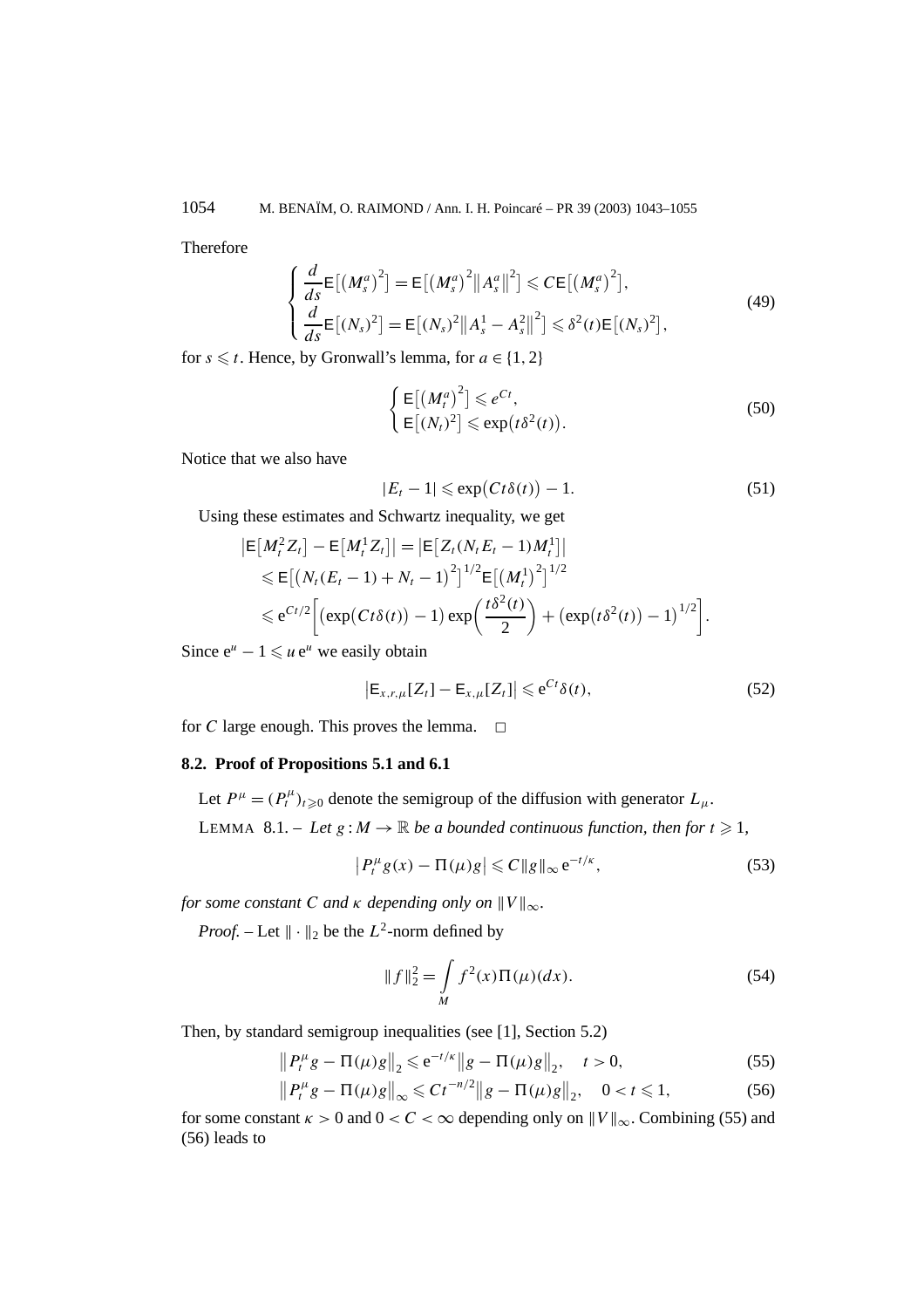Therefore

$$
\begin{cases}\n\frac{d}{ds}\mathsf{E}\left[\left(M_s^a\right)^2\right] = \mathsf{E}\left[\left(M_s^a\right)^2 \|A_s^a\|^2\right] \leqslant C \mathsf{E}\left[\left(M_s^a\right)^2\right],\\
\frac{d}{ds}\mathsf{E}\left[\left(N_s\right)^2\right] = \mathsf{E}\left[\left(N_s\right)^2 \|A_s^1 - A_s^2\|^2\right] \leqslant \delta^2(t) \mathsf{E}\left[\left(N_s\right)^2\right],\n\end{cases}\n\tag{49}
$$

for  $s \leq t$ . Hence, by Gronwall's lemma, for  $a \in \{1, 2\}$ 

$$
\begin{cases} \mathsf{E}\left[\left(M_t^a\right)^2\right] \leqslant e^{Ct}, \\ \mathsf{E}\left[\left(N_t^2\right)^2\right] \leqslant \exp\left(t\delta^2(t)\right). \end{cases} \tag{50}
$$

Notice that we also have

$$
|E_t - 1| \le \exp\bigl(Ct\delta(t)\bigr) - 1. \tag{51}
$$

Using these estimates and Schwartz inequality, we get

$$
|\mathsf{E}[M_t^2 Z_t] - \mathsf{E}[M_t^1 Z_t]| = |\mathsf{E}[Z_t (N_t E_t - 1) M_t^1]|
$$
  
\n
$$
\leq \mathsf{E}[(N_t (E_t - 1) + N_t - 1)^2]^{1/2} \mathsf{E}[(M_t^1)^2]^{1/2}
$$
  
\n
$$
\leq e^{Ct/2} \Big[ (\exp(Ct\delta(t)) - 1) \exp\Big(\frac{t\delta^2(t)}{2}\Big) + (\exp(t\delta^2(t)) - 1)^{1/2} \Big].
$$

Since  $e^u - 1 \leq u e^u$  we easily obtain

$$
\left|\mathsf{E}_{x,r,\mu}[Z_t]-\mathsf{E}_{x,\mu}[Z_t]\right|\leqslant\mathrm{e}^{Ct}\delta(t),\tag{52}
$$

for *C* large enough. This proves the lemma.  $\Box$ 

## **8.2. Proof of Propositions 5.1 and 6.1**

Let  $P^{\mu} = (P_t^{\mu})_{t \geq 0}$  denote the semigroup of the diffusion with generator  $L_{\mu}$ . LEMMA 8.1. – Let  $g : M \to \mathbb{R}$  be a bounded continuous function, then for  $t \ge 1$ ,

$$
\left|P_t^{\mu}g(x) - \Pi(\mu)g\right| \leqslant C \|g\|_{\infty} e^{-t/\kappa},\tag{53}
$$

*for some constant C and*  $\kappa$  *depending only on*  $\|V\|_{\infty}$ *.* 

*Proof.* – Let  $\|\cdot\|_2$  be the  $L^2$ -norm defined by

$$
||f||_2^2 = \int\limits_M f^2(x) \Pi(\mu)(dx).
$$
 (54)

Then, by standard semigroup inequalities (see [1], Section 5.2)

$$
||P_t^{\mu}g - \Pi(\mu)g||_2 \le e^{-t/\kappa}||g - \Pi(\mu)g||_2, \quad t > 0,
$$
\n(55)

$$
||P_t^{\mu}g - \Pi(\mu)g||_{\infty} \leq C t^{-n/2} ||g - \Pi(\mu)g||_2, \quad 0 < t \leq 1,
$$
 (56)

for some constant  $\kappa > 0$  and  $0 < C < \infty$  depending only on  $||V||_{\infty}$ . Combining (55) and (56) leads to